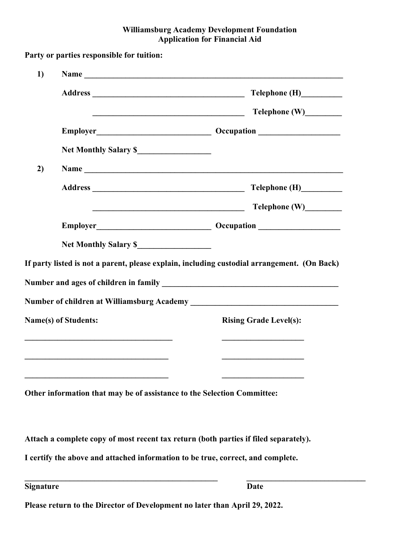#### Williamsburg Academy Development Foundation Application for Financial Aid

|                             | Telephone (H)                                                                                                        |
|-----------------------------|----------------------------------------------------------------------------------------------------------------------|
|                             |                                                                                                                      |
|                             |                                                                                                                      |
|                             |                                                                                                                      |
|                             |                                                                                                                      |
|                             | Address Telephone (H)                                                                                                |
|                             | <u> Alexandria de la contrada de la contrada de la contrada de la contrada de la contrada de la contrada de la c</u> |
|                             |                                                                                                                      |
|                             |                                                                                                                      |
|                             |                                                                                                                      |
|                             |                                                                                                                      |
| <b>Name(s) of Students:</b> | <b>Rising Grade Level(s):</b>                                                                                        |
|                             |                                                                                                                      |
|                             | Other information that may be of assistance to the Selection Committee:                                              |
|                             | Attach a complete copy of most recent tax return (both parties if filed separately).                                 |
|                             | I certify the above and attached information to be true, correct, and complete.                                      |
|                             | If party listed is not a parent, please explain, including custodial arrangement. (On Back)                          |

Please return to the Director of Development no later than April 29, 2022.